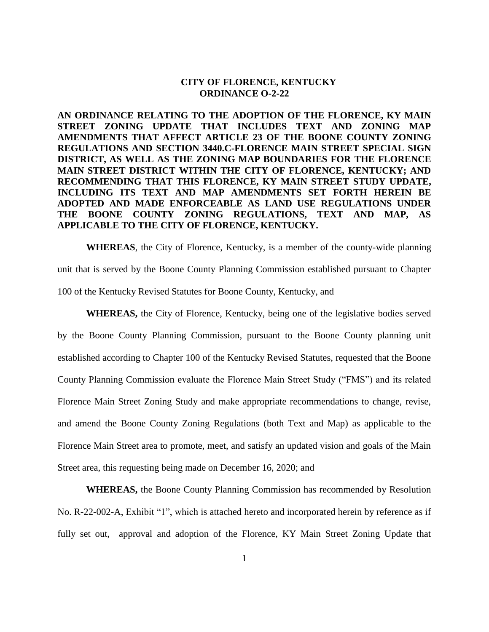### **CITY OF FLORENCE, KENTUCKY ORDINANCE O-2-22**

**AN ORDINANCE RELATING TO THE ADOPTION OF THE FLORENCE, KY MAIN STREET ZONING UPDATE THAT INCLUDES TEXT AND ZONING MAP AMENDMENTS THAT AFFECT ARTICLE 23 OF THE BOONE COUNTY ZONING REGULATIONS AND SECTION 3440.C-FLORENCE MAIN STREET SPECIAL SIGN DISTRICT, AS WELL AS THE ZONING MAP BOUNDARIES FOR THE FLORENCE MAIN STREET DISTRICT WITHIN THE CITY OF FLORENCE, KENTUCKY; AND RECOMMENDING THAT THIS FLORENCE, KY MAIN STREET STUDY UPDATE, INCLUDING ITS TEXT AND MAP AMENDMENTS SET FORTH HEREIN BE ADOPTED AND MADE ENFORCEABLE AS LAND USE REGULATIONS UNDER THE BOONE COUNTY ZONING REGULATIONS, TEXT AND MAP, AS APPLICABLE TO THE CITY OF FLORENCE, KENTUCKY.**

**WHEREAS**, the City of Florence, Kentucky, is a member of the county-wide planning unit that is served by the Boone County Planning Commission established pursuant to Chapter 100 of the Kentucky Revised Statutes for Boone County, Kentucky, and

**WHEREAS,** the City of Florence, Kentucky, being one of the legislative bodies served by the Boone County Planning Commission, pursuant to the Boone County planning unit established according to Chapter 100 of the Kentucky Revised Statutes, requested that the Boone County Planning Commission evaluate the Florence Main Street Study ("FMS") and its related Florence Main Street Zoning Study and make appropriate recommendations to change, revise, and amend the Boone County Zoning Regulations (both Text and Map) as applicable to the Florence Main Street area to promote, meet, and satisfy an updated vision and goals of the Main Street area, this requesting being made on December 16, 2020; and

**WHEREAS,** the Boone County Planning Commission has recommended by Resolution No. R-22-002-A, Exhibit "1", which is attached hereto and incorporated herein by reference as if fully set out, approval and adoption of the Florence, KY Main Street Zoning Update that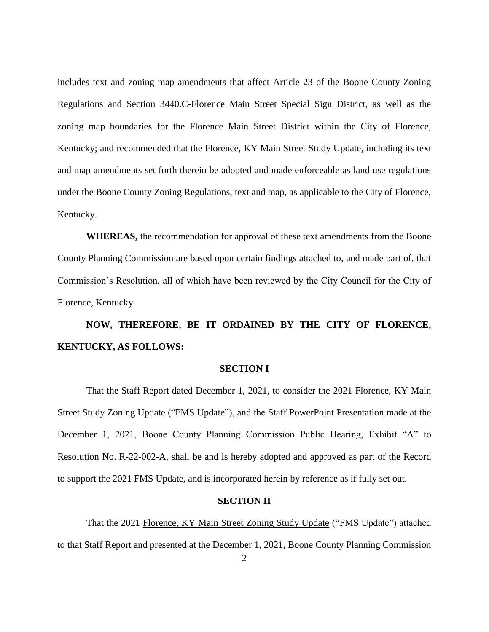includes text and zoning map amendments that affect Article 23 of the Boone County Zoning Regulations and Section 3440.C-Florence Main Street Special Sign District, as well as the zoning map boundaries for the Florence Main Street District within the City of Florence, Kentucky; and recommended that the Florence, KY Main Street Study Update, including its text and map amendments set forth therein be adopted and made enforceable as land use regulations under the Boone County Zoning Regulations, text and map, as applicable to the City of Florence, Kentucky.

**WHEREAS,** the recommendation for approval of these text amendments from the Boone County Planning Commission are based upon certain findings attached to, and made part of, that Commission's Resolution, all of which have been reviewed by the City Council for the City of Florence, Kentucky.

# **NOW, THEREFORE, BE IT ORDAINED BY THE CITY OF FLORENCE, KENTUCKY, AS FOLLOWS:**

#### **SECTION I**

That the Staff Report dated December 1, 2021, to consider the 2021 Florence, KY Main Street Study Zoning Update ("FMS Update"), and the Staff PowerPoint Presentation made at the December 1, 2021, Boone County Planning Commission Public Hearing, Exhibit "A" to Resolution No. R-22-002-A, shall be and is hereby adopted and approved as part of the Record to support the 2021 FMS Update, and is incorporated herein by reference as if fully set out.

## **SECTION II**

That the 2021 Florence, KY Main Street Zoning Study Update ("FMS Update") attached to that Staff Report and presented at the December 1, 2021, Boone County Planning Commission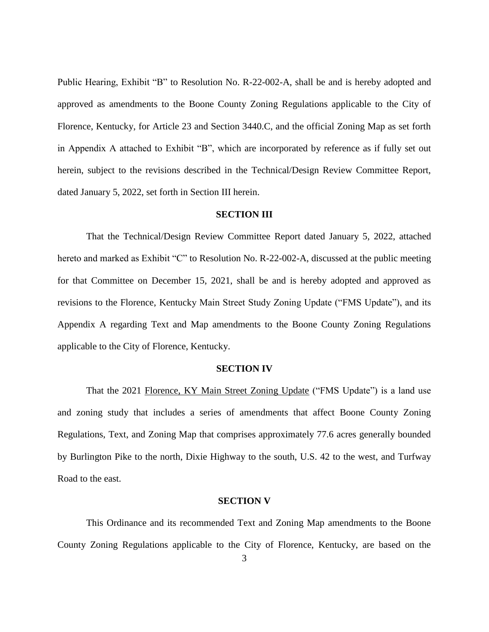Public Hearing, Exhibit "B" to Resolution No. R-22-002-A, shall be and is hereby adopted and approved as amendments to the Boone County Zoning Regulations applicable to the City of Florence, Kentucky, for Article 23 and Section 3440.C, and the official Zoning Map as set forth in Appendix A attached to Exhibit "B", which are incorporated by reference as if fully set out herein, subject to the revisions described in the Technical/Design Review Committee Report, dated January 5, 2022, set forth in Section III herein.

#### **SECTION III**

That the Technical/Design Review Committee Report dated January 5, 2022, attached hereto and marked as Exhibit "C" to Resolution No. R-22-002-A, discussed at the public meeting for that Committee on December 15, 2021, shall be and is hereby adopted and approved as revisions to the Florence, Kentucky Main Street Study Zoning Update ("FMS Update"), and its Appendix A regarding Text and Map amendments to the Boone County Zoning Regulations applicable to the City of Florence, Kentucky.

#### **SECTION IV**

That the 2021 Florence, KY Main Street Zoning Update ("FMS Update") is a land use and zoning study that includes a series of amendments that affect Boone County Zoning Regulations, Text, and Zoning Map that comprises approximately 77.6 acres generally bounded by Burlington Pike to the north, Dixie Highway to the south, U.S. 42 to the west, and Turfway Road to the east.

#### **SECTION V**

This Ordinance and its recommended Text and Zoning Map amendments to the Boone County Zoning Regulations applicable to the City of Florence, Kentucky, are based on the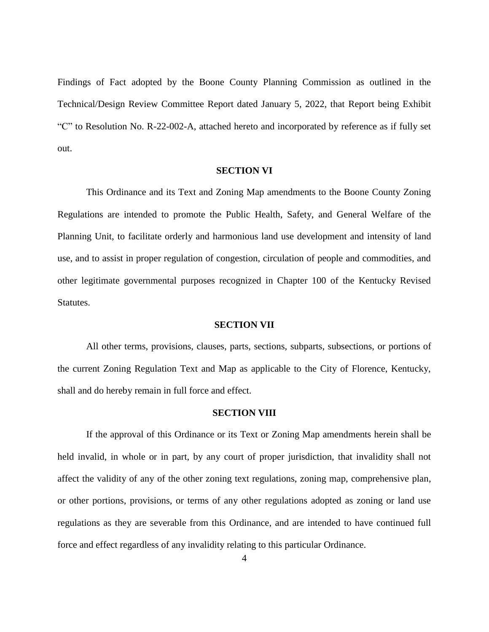Findings of Fact adopted by the Boone County Planning Commission as outlined in the Technical/Design Review Committee Report dated January 5, 2022, that Report being Exhibit "C" to Resolution No. R-22-002-A, attached hereto and incorporated by reference as if fully set out.

#### **SECTION VI**

This Ordinance and its Text and Zoning Map amendments to the Boone County Zoning Regulations are intended to promote the Public Health, Safety, and General Welfare of the Planning Unit, to facilitate orderly and harmonious land use development and intensity of land use, and to assist in proper regulation of congestion, circulation of people and commodities, and other legitimate governmental purposes recognized in Chapter 100 of the Kentucky Revised Statutes.

#### **SECTION VII**

All other terms, provisions, clauses, parts, sections, subparts, subsections, or portions of the current Zoning Regulation Text and Map as applicable to the City of Florence, Kentucky, shall and do hereby remain in full force and effect.

#### **SECTION VIII**

If the approval of this Ordinance or its Text or Zoning Map amendments herein shall be held invalid, in whole or in part, by any court of proper jurisdiction, that invalidity shall not affect the validity of any of the other zoning text regulations, zoning map, comprehensive plan, or other portions, provisions, or terms of any other regulations adopted as zoning or land use regulations as they are severable from this Ordinance, and are intended to have continued full force and effect regardless of any invalidity relating to this particular Ordinance.